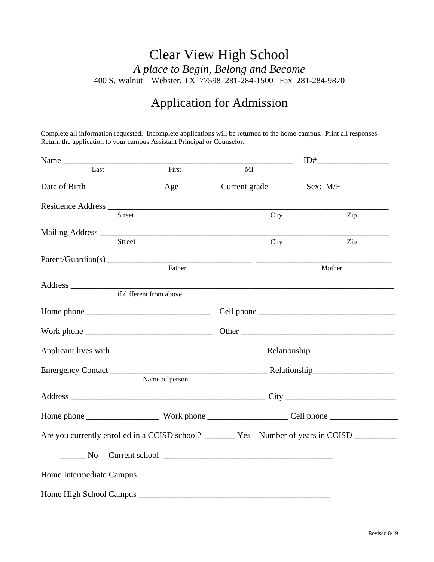## Clear View High School *A place to Begin, Belong and Become* 400 S. Walnut Webster, TX 77598 281-284-1500 Fax 281-284-9870

## Application for Admission

Complete all information requested. Incomplete applications will be returned to the home campus. Print all responses. Return the application to your campus Assistant Principal or Counselor.

| Name                    |                | $\label{eq:2.1} \frac{1}{\sqrt{2}}\left(\frac{1}{\sqrt{2}}\right)^{2} \left(\frac{1}{\sqrt{2}}\right)^{2} \left(\frac{1}{\sqrt{2}}\right)^{2} \left(\frac{1}{\sqrt{2}}\right)^{2} \left(\frac{1}{\sqrt{2}}\right)^{2} \left(\frac{1}{\sqrt{2}}\right)^{2} \left(\frac{1}{\sqrt{2}}\right)^{2} \left(\frac{1}{\sqrt{2}}\right)^{2} \left(\frac{1}{\sqrt{2}}\right)^{2} \left(\frac{1}{\sqrt{2}}\right)^{2} \left(\frac{1}{\sqrt{2}}\right)^{2} \left(\$ | $\begin{picture}(10,10) \put(0,0){\line(1,0){10}} \put(15,0){\line(1,0){10}} \put(15,0){\line(1,0){10}} \put(15,0){\line(1,0){10}} \put(15,0){\line(1,0){10}} \put(15,0){\line(1,0){10}} \put(15,0){\line(1,0){10}} \put(15,0){\line(1,0){10}} \put(15,0){\line(1,0){10}} \put(15,0){\line(1,0){10}} \put(15,0){\line(1,0){10}} \put(15,0){\line(1$ |     |
|-------------------------|----------------|--------------------------------------------------------------------------------------------------------------------------------------------------------------------------------------------------------------------------------------------------------------------------------------------------------------------------------------------------------------------------------------------------------------------------------------------------------|-----------------------------------------------------------------------------------------------------------------------------------------------------------------------------------------------------------------------------------------------------------------------------------------------------------------------------------------------------|-----|
| Last                    | First          | MI                                                                                                                                                                                                                                                                                                                                                                                                                                                     |                                                                                                                                                                                                                                                                                                                                                     |     |
|                         |                |                                                                                                                                                                                                                                                                                                                                                                                                                                                        |                                                                                                                                                                                                                                                                                                                                                     |     |
|                         |                |                                                                                                                                                                                                                                                                                                                                                                                                                                                        |                                                                                                                                                                                                                                                                                                                                                     |     |
| Street                  |                | City                                                                                                                                                                                                                                                                                                                                                                                                                                                   |                                                                                                                                                                                                                                                                                                                                                     | Zip |
|                         |                |                                                                                                                                                                                                                                                                                                                                                                                                                                                        |                                                                                                                                                                                                                                                                                                                                                     |     |
| <b>Street</b>           |                | City                                                                                                                                                                                                                                                                                                                                                                                                                                                   |                                                                                                                                                                                                                                                                                                                                                     | Zip |
| Parent/Guardian(s)      | Father         |                                                                                                                                                                                                                                                                                                                                                                                                                                                        |                                                                                                                                                                                                                                                                                                                                                     |     |
|                         |                |                                                                                                                                                                                                                                                                                                                                                                                                                                                        | Mother                                                                                                                                                                                                                                                                                                                                              |     |
| if different from above |                | ,我们也不能在这里的时候,我们也不能在这里的时候,我们也不能会在这里的时候,我们也不能会在这里的时候,我们也不能会在这里的时候,我们也不能会在这里的时候,我们也                                                                                                                                                                                                                                                                                                                                                                       |                                                                                                                                                                                                                                                                                                                                                     |     |
|                         |                |                                                                                                                                                                                                                                                                                                                                                                                                                                                        |                                                                                                                                                                                                                                                                                                                                                     |     |
|                         |                |                                                                                                                                                                                                                                                                                                                                                                                                                                                        |                                                                                                                                                                                                                                                                                                                                                     |     |
|                         |                |                                                                                                                                                                                                                                                                                                                                                                                                                                                        |                                                                                                                                                                                                                                                                                                                                                     |     |
|                         |                |                                                                                                                                                                                                                                                                                                                                                                                                                                                        |                                                                                                                                                                                                                                                                                                                                                     |     |
|                         |                |                                                                                                                                                                                                                                                                                                                                                                                                                                                        |                                                                                                                                                                                                                                                                                                                                                     |     |
|                         | Name of person |                                                                                                                                                                                                                                                                                                                                                                                                                                                        |                                                                                                                                                                                                                                                                                                                                                     |     |
|                         |                |                                                                                                                                                                                                                                                                                                                                                                                                                                                        |                                                                                                                                                                                                                                                                                                                                                     |     |
|                         |                |                                                                                                                                                                                                                                                                                                                                                                                                                                                        |                                                                                                                                                                                                                                                                                                                                                     |     |
|                         |                |                                                                                                                                                                                                                                                                                                                                                                                                                                                        |                                                                                                                                                                                                                                                                                                                                                     |     |
| N <sub>O</sub>          |                |                                                                                                                                                                                                                                                                                                                                                                                                                                                        |                                                                                                                                                                                                                                                                                                                                                     |     |
|                         |                |                                                                                                                                                                                                                                                                                                                                                                                                                                                        |                                                                                                                                                                                                                                                                                                                                                     |     |
|                         |                |                                                                                                                                                                                                                                                                                                                                                                                                                                                        |                                                                                                                                                                                                                                                                                                                                                     |     |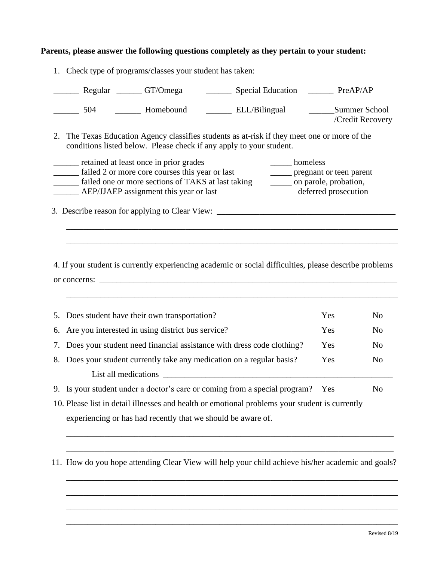## **Parents, please answer the following questions completely as they pertain to your student:**

| Regular CT/Omega<br>_________ Special Education __________ PreAP/AP                                                                                                                                                                                                                         |                                   |                |
|---------------------------------------------------------------------------------------------------------------------------------------------------------------------------------------------------------------------------------------------------------------------------------------------|-----------------------------------|----------------|
| _________ Homebound ____________ ELL/Bilingual<br>504                                                                                                                                                                                                                                       | Summer School<br>/Credit Recovery |                |
| 2. The Texas Education Agency classifies students as at-risk if they meet one or more of the<br>conditions listed below. Please check if any apply to your student.                                                                                                                         |                                   |                |
| retained at least once in prior grades<br>______ homeless<br>_____ failed 2 or more core courses this year or last<br>______ pregnant or teen parent<br>failed one or more sections of TAKS at last taking<br>______ on parole, probation,<br>______ AEP/JJAEP assignment this year or last | deferred prosecution              |                |
|                                                                                                                                                                                                                                                                                             |                                   |                |
|                                                                                                                                                                                                                                                                                             |                                   |                |
|                                                                                                                                                                                                                                                                                             |                                   |                |
| 4. If your student is currently experiencing academic or social difficulties, please describe problems                                                                                                                                                                                      |                                   |                |
| or concerns:                                                                                                                                                                                                                                                                                |                                   |                |
| 5. Does student have their own transportation?                                                                                                                                                                                                                                              | Yes                               | N <sub>o</sub> |
| 6. Are you interested in using district bus service?                                                                                                                                                                                                                                        | Yes                               | N <sub>o</sub> |
| 7. Does your student need financial assistance with dress code clothing?                                                                                                                                                                                                                    | Yes                               | N <sub>o</sub> |
| 8. Does your student currently take any medication on a regular basis?                                                                                                                                                                                                                      | Yes                               | N <sub>o</sub> |
|                                                                                                                                                                                                                                                                                             |                                   |                |
| 9. Is your student under a doctor's care or coming from a special program? Yes                                                                                                                                                                                                              |                                   | N <sub>o</sub> |
| 10. Please list in detail illnesses and health or emotional problems your student is currently                                                                                                                                                                                              |                                   |                |

1. Check type of programs/classes your student has taken:

11. How do you hope attending Clear View will help your child achieve his/her academic and goals?

\_\_\_\_\_\_\_\_\_\_\_\_\_\_\_\_\_\_\_\_\_\_\_\_\_\_\_\_\_\_\_\_\_\_\_\_\_\_\_\_\_\_\_\_\_\_\_\_\_\_\_\_\_\_\_\_\_\_\_\_\_\_\_\_\_\_\_\_\_\_\_\_\_\_\_\_\_

\_\_\_\_\_\_\_\_\_\_\_\_\_\_\_\_\_\_\_\_\_\_\_\_\_\_\_\_\_\_\_\_\_\_\_\_\_\_\_\_\_\_\_\_\_\_\_\_\_\_\_\_\_\_\_\_\_\_\_\_\_\_\_\_\_\_\_\_\_\_\_\_\_\_\_\_\_

\_\_\_\_\_\_\_\_\_\_\_\_\_\_\_\_\_\_\_\_\_\_\_\_\_\_\_\_\_\_\_\_\_\_\_\_\_\_\_\_\_\_\_\_\_\_\_\_\_\_\_\_\_\_\_\_\_\_\_\_\_\_\_\_\_\_\_\_\_\_\_\_\_\_\_\_\_\_

\_\_\_\_\_\_\_\_\_\_\_\_\_\_\_\_\_\_\_\_\_\_\_\_\_\_\_\_\_\_\_\_\_\_\_\_\_\_\_\_\_\_\_\_\_\_\_\_\_\_\_\_\_\_\_\_\_\_\_\_\_\_\_\_\_\_\_\_\_\_\_\_\_\_\_\_\_\_

\_\_\_\_\_\_\_\_\_\_\_\_\_\_\_\_\_\_\_\_\_\_\_\_\_\_\_\_\_\_\_\_\_\_\_\_\_\_\_\_\_\_\_\_\_\_\_\_\_\_\_\_\_\_\_\_\_\_\_\_\_\_\_\_\_\_\_\_\_\_\_\_\_\_\_\_\_\_

\_\_\_\_\_\_\_\_\_\_\_\_\_\_\_\_\_\_\_\_\_\_\_\_\_\_\_\_\_\_\_\_\_\_\_\_\_\_\_\_\_\_\_\_\_\_\_\_\_\_\_\_\_\_\_\_\_\_\_\_\_\_\_\_\_\_\_\_\_\_\_\_\_\_\_\_\_\_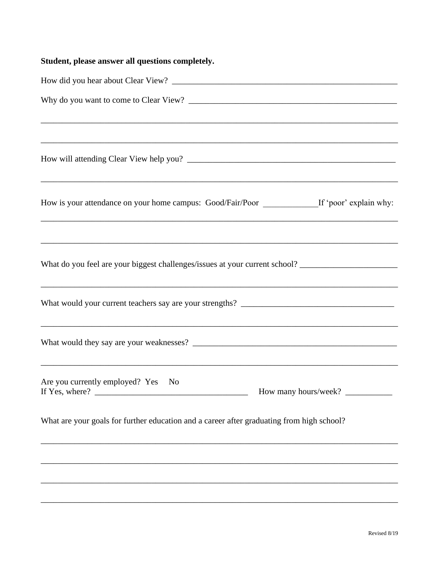| Student, please answer all questions completely.                                                     |
|------------------------------------------------------------------------------------------------------|
|                                                                                                      |
|                                                                                                      |
|                                                                                                      |
| ,我们也不能在这里的人,我们也不能在这里的人,我们也不能在这里的人,我们也不能在这里的人,我们也不能在这里的人,我们也不能在这里的人,我们也不能在这里的人,我们也                    |
| How is your attendance on your home campus: Good/Fair/Poor _______________If 'poor' explain why:     |
|                                                                                                      |
| What do you feel are your biggest challenges/issues at your current school? ________________________ |
|                                                                                                      |
|                                                                                                      |
| Are you currently employed? Yes No                                                                   |
| What are your goals for further education and a career after graduating from high school?            |
|                                                                                                      |
|                                                                                                      |
|                                                                                                      |